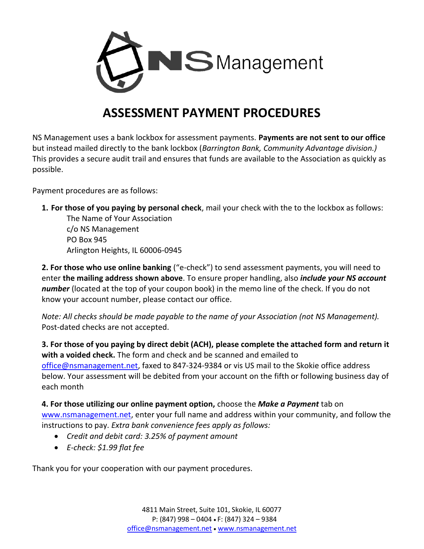

## **ASSESSMENT PAYMENT PROCEDURES**

NS Management uses a bank lockbox for assessment payments. **Payments are not sent to our office**  but instead mailed directly to the bank lockbox (*Barrington Bank, Community Advantage division.)*  This provides a secure audit trail and ensures that funds are available to the Association as quickly as possible.

Payment procedures are as follows:

**1. For those of you paying by personal check**, mail your check with the to the lockbox as follows: The Name of Your Association

c/o NS Management PO Box 945 Arlington Heights, IL 60006-0945

**2. For those who use online banking** ("e-check") to send assessment payments, you will need to enter **the mailing address shown above**. To ensure proper handling, also *include your NS account number* (located at the top of your coupon book) in the memo line of the check. If you do not know your account number, please contact our office.

*Note: All checks should be made payable to the name of your Association (not NS Management).* Post-dated checks are not accepted.

**3. For those of you paying by direct debit (ACH), please complete the attached form and return it with a voided check.** The form and check and be scanned and emailed to [office@nsmanagement.net,](mailto:office@nsmanagement.net) faxed to 847-324-9384 or vis US mail to the Skokie office address below. Your assessment will be debited from your account on the fifth or following business day of each month

**4. For those utilizing our online payment option,** choose the *Make a Payment* tab on [www.nsmanagement.net,](http://www.nsmanagement.net/) enter your full name and address within your community, and follow the instructions to pay. *Extra bank convenience fees apply as follows:* 

- *Credit and debit card: 3.25% of payment amount*
- *E-check: \$1.99 flat fee*

Thank you for your cooperation with our payment procedures.